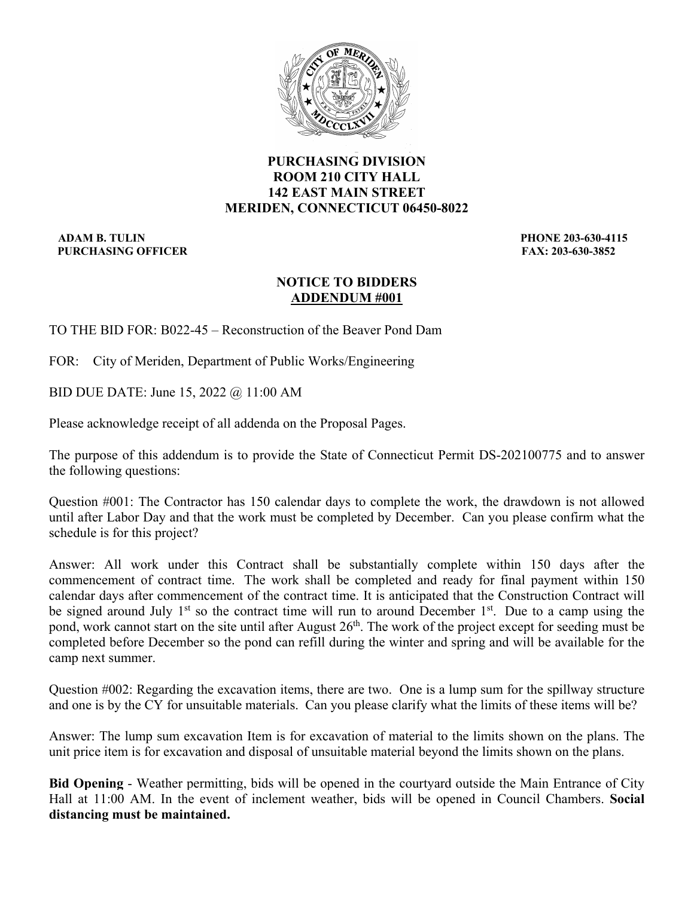

# **PURCHASING DIVISION ROOM 210 CITY HALL 142 EAST MAIN STREET MERIDEN, CONNECTICUT 06450-8022**

 **ADAM B. TULIN PHONE 203-630-4115 PURCHASING OFFICER FAX: 203-630-3852** 

# **NOTICE TO BIDDERS ADDENDUM #001**

TO THE BID FOR: B022-45 – Reconstruction of the Beaver Pond Dam

FOR: City of Meriden, Department of Public Works/Engineering

BID DUE DATE: June 15, 2022 @ 11:00 AM

Please acknowledge receipt of all addenda on the Proposal Pages.

The purpose of this addendum is to provide the State of Connecticut Permit DS-202100775 and to answer the following questions:

Question #001: The Contractor has 150 calendar days to complete the work, the drawdown is not allowed until after Labor Day and that the work must be completed by December. Can you please confirm what the schedule is for this project?

Answer: All work under this Contract shall be substantially complete within 150 days after the commencement of contract time. The work shall be completed and ready for final payment within 150 calendar days after commencement of the contract time. It is anticipated that the Construction Contract will be signed around July 1<sup>st</sup> so the contract time will run to around December 1<sup>st</sup>. Due to a camp using the pond, work cannot start on the site until after August  $26<sup>th</sup>$ . The work of the project except for seeding must be completed before December so the pond can refill during the winter and spring and will be available for the camp next summer.

Question #002: Regarding the excavation items, there are two. One is a lump sum for the spillway structure and one is by the CY for unsuitable materials. Can you please clarify what the limits of these items will be?

Answer: The lump sum excavation Item is for excavation of material to the limits shown on the plans. The unit price item is for excavation and disposal of unsuitable material beyond the limits shown on the plans.

**Bid Opening** - Weather permitting, bids will be opened in the courtyard outside the Main Entrance of City Hall at 11:00 AM. In the event of inclement weather, bids will be opened in Council Chambers. **Social distancing must be maintained.**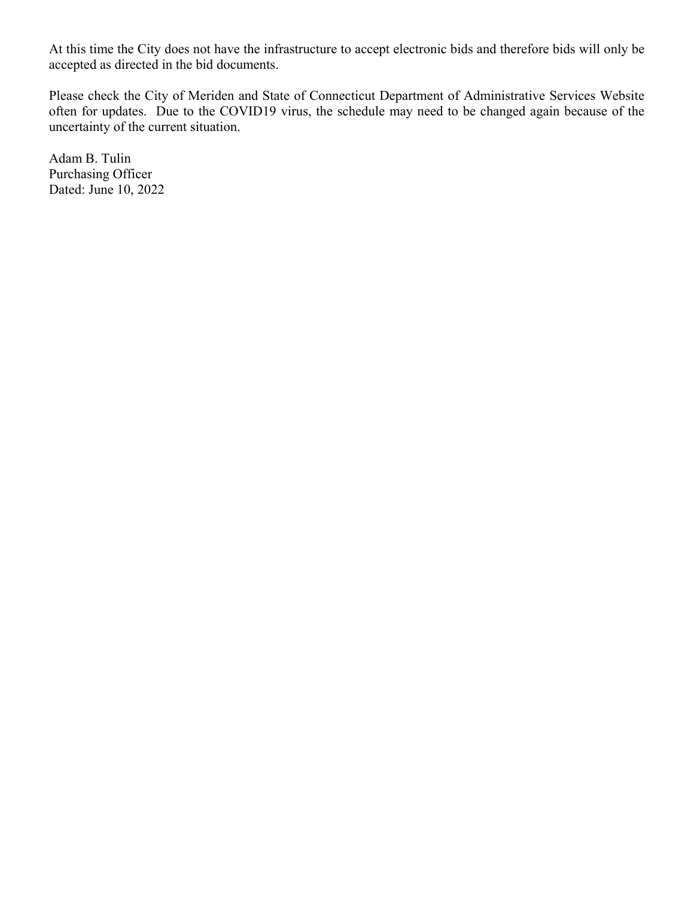At this time the City does not have the infrastructure to accept electronic bids and therefore bids will only be accepted as directed in the bid documents.

Please check the City of Meriden and State of Connecticut Department of Administrative Services Website often for updates. Due to the COVID19 virus, the schedule may need to be changed again because of the uncertainty of the current situation.

Adam B. Tulin Purchasing Officer Dated: June 10, 2022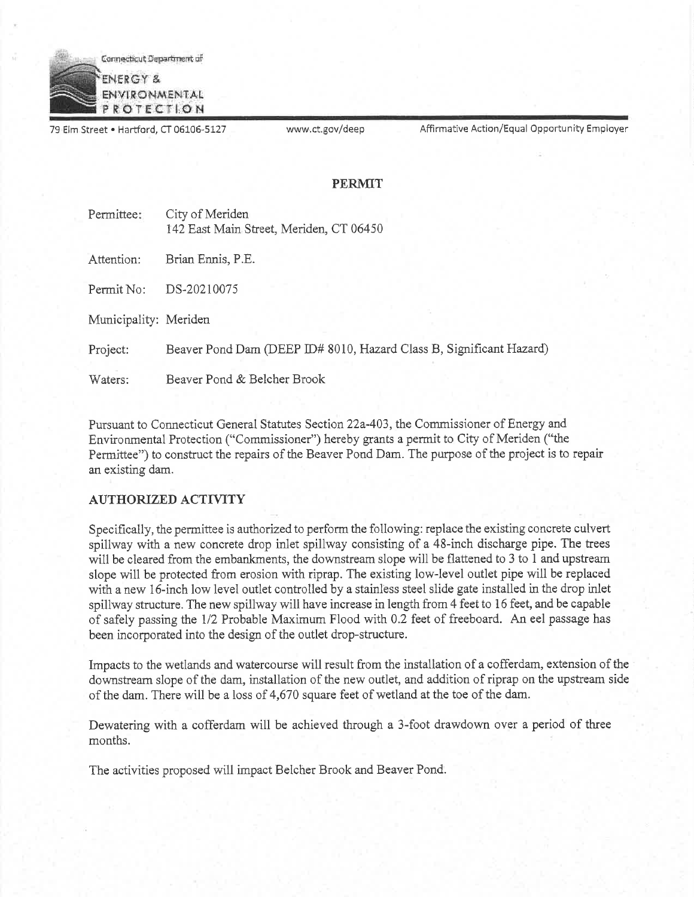

79 Elm Street . Hartford, CT 06106-5127

www.ct.gov/deep

Affirmative Action/Equal Opportunity Employer

### **PERMIT**

| Permittee: | City of Meriden                         |
|------------|-----------------------------------------|
|            | 142 East Main Street, Meriden, CT 06450 |
|            |                                         |

Attention: Brian Ennis, P.E.

Permit No: DS-20210075

Municipality: Meriden

Project: Beaver Pond Dam (DEEP ID# 8010, Hazard Class B, Significant Hazard)

Beaver Pond & Belcher Brook Waters:

Pursuant to Connecticut General Statutes Section 22a-403, the Commissioner of Energy and Environmental Protection ("Commissioner") hereby grants a permit to City of Meriden ("the Permittee") to construct the repairs of the Beaver Pond Dam. The purpose of the project is to repair an existing dam.

## **AUTHORIZED ACTIVITY**

Specifically, the permittee is authorized to perform the following: replace the existing concrete culvert spillway with a new concrete drop inlet spillway consisting of a 48-inch discharge pipe. The trees will be cleared from the embankments, the downstream slope will be flattened to 3 to 1 and upstream slope will be protected from erosion with riprap. The existing low-level outlet pipe will be replaced with a new 16-inch low level outlet controlled by a stainless steel slide gate installed in the drop inlet spillway structure. The new spillway will have increase in length from 4 feet to 16 feet, and be capable of safely passing the 1/2 Probable Maximum Flood with 0.2 feet of freeboard. An eel passage has been incorporated into the design of the outlet drop-structure.

Impacts to the wetlands and watercourse will result from the installation of a cofferdam, extension of the downstream slope of the dam, installation of the new outlet, and addition of riprap on the upstream side of the dam. There will be a loss of 4,670 square feet of wetland at the toe of the dam.

Dewatering with a cofferdam will be achieved through a 3-foot drawdown over a period of three months.

The activities proposed will impact Belcher Brook and Beaver Pond.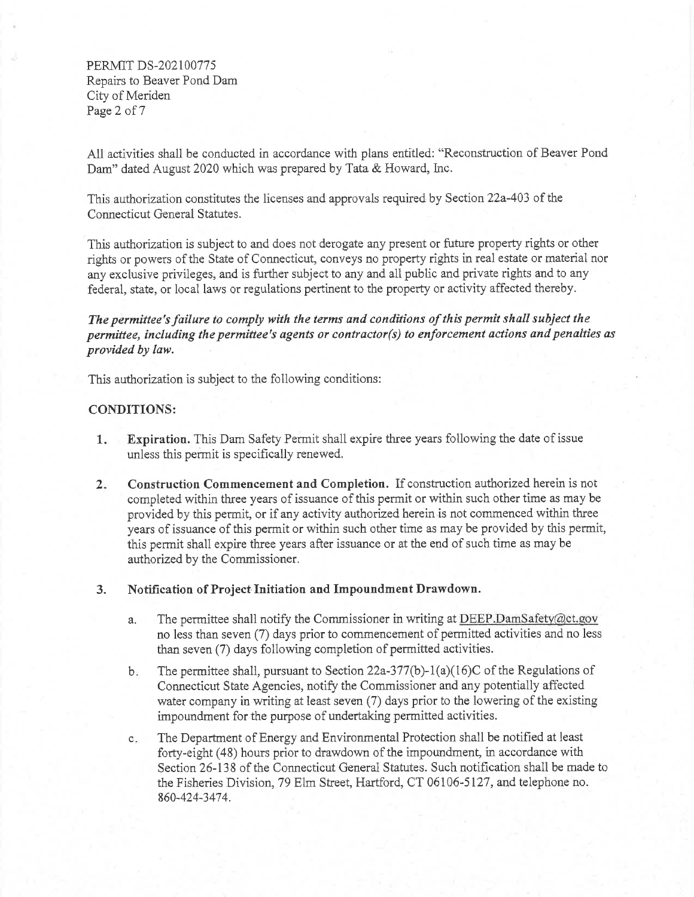PERMIT DS-202100775 Repairs to Beaver Pond Dam City of Meriden Page 2 of 7

All activities shall be conducted in accordance with plans entitled: "Reconstruction of Beaver Pond Dam" dated August 2020 which was prepared by Tata & Howard, Inc.

This authorization constitutes the licenses and approvals required by Section 22a-403 of the Connecticut General Statutes.

This authorization is subject to and does not derogate any present or future property rights or other rights or powers of the State of Connecticut, conveys no property rights in real estate or material nor any exclusive privileges, and is further subject to any and all public and private rights and to any federal, state, or local laws or regulations pertinent to the property or activity affected thereby.

The permittee's failure to comply with the terms and conditions of this permit shall subject the permittee, including the permittee's agents or contractor(s) to enforcement actions and penalties as provided by law.

This authorization is subject to the following conditions:

## **CONDITIONS:**

- Expiration. This Dam Safety Permit shall expire three years following the date of issue  $1<sub>z</sub>$ unless this permit is specifically renewed.
- $2.$ Construction Commencement and Completion. If construction authorized herein is not completed within three years of issuance of this permit or within such other time as may be provided by this permit, or if any activity authorized herein is not commenced within three years of issuance of this permit or within such other time as may be provided by this permit, this permit shall expire three years after issuance or at the end of such time as may be authorized by the Commissioner.

#### Notification of Project Initiation and Impoundment Drawdown. 3.

- The permittee shall notify the Commissioner in writing at DEEP.DamSafety@ct.gov a. no less than seven (7) days prior to commencement of permitted activities and no less than seven (7) days following completion of permitted activities.
- $b$ . The permittee shall, pursuant to Section 22a-377(b)-1(a)(16)C of the Regulations of Connecticut State Agencies, notify the Commissioner and any potentially affected water company in writing at least seven (7) days prior to the lowering of the existing impoundment for the purpose of undertaking permitted activities.
- The Department of Energy and Environmental Protection shall be notified at least  $\mathbf{C}_{\bullet\mathbb{R}}$ forty-eight (48) hours prior to drawdown of the impoundment, in accordance with Section 26-138 of the Connecticut General Statutes. Such notification shall be made to the Fisheries Division, 79 Elm Street, Hartford, CT 06106-5127, and telephone no. 860-424-3474.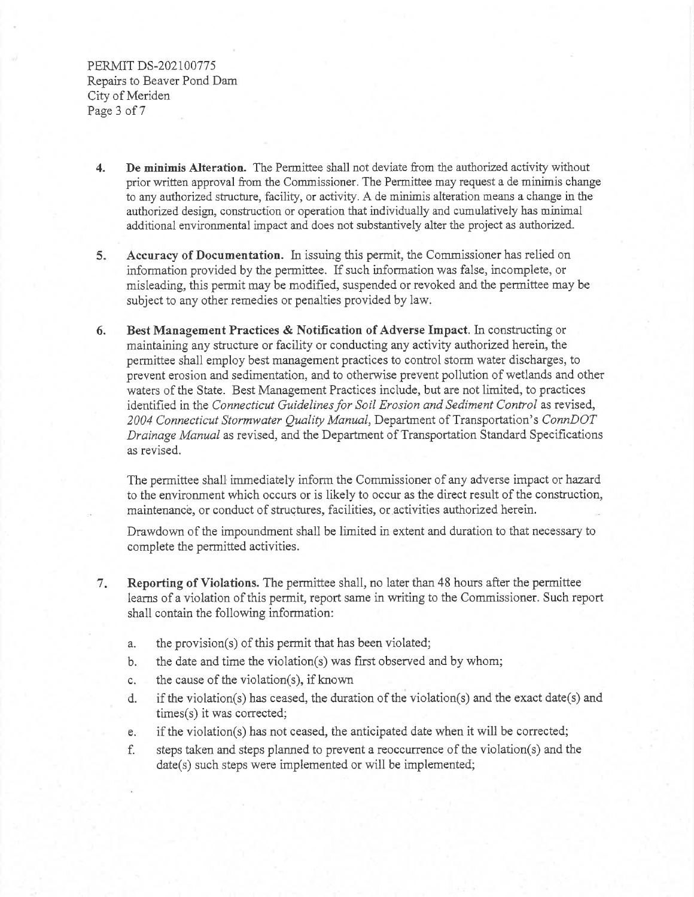PERMIT DS-202100775 Repairs to Beaver Pond Dam City of Meriden Page 3 of 7

- De minimis Alteration. The Permittee shall not deviate from the authorized activity without  $\overline{4}$ . prior written approval from the Commissioner. The Permittee may request a de minimis change to any authorized structure, facility, or activity. A de minimis alteration means a change in the authorized design, construction or operation that individually and cumulatively has minimal additional environmental impact and does not substantively alter the project as authorized.
- $5.$ Accuracy of Documentation. In issuing this permit, the Commissioner has relied on information provided by the permittee. If such information was false, incomplete, or misleading, this permit may be modified, suspended or revoked and the permittee may be subject to any other remedies or penalties provided by law.
- Best Management Practices & Notification of Adverse Impact. In constructing or 6. maintaining any structure or facility or conducting any activity authorized herein, the permittee shall employ best management practices to control storm water discharges, to prevent erosion and sedimentation, and to otherwise prevent pollution of wetlands and other waters of the State. Best Management Practices include, but are not limited, to practices identified in the Connecticut Guidelines for Soil Erosion and Sediment Control as revised, 2004 Connecticut Stormwater Quality Manual, Department of Transportation's ConnDOT Drainage Manual as revised, and the Department of Transportation Standard Specifications as revised.

The permittee shall immediately inform the Commissioner of any adverse impact or hazard to the environment which occurs or is likely to occur as the direct result of the construction, maintenance, or conduct of structures, facilities, or activities authorized herein.

Drawdown of the impoundment shall be limited in extent and duration to that necessary to complete the permitted activities.

- Reporting of Violations. The permittee shall, no later than 48 hours after the permittee  $7.$ learns of a violation of this permit, report same in writing to the Commissioner. Such report shall contain the following information:
	- the provision(s) of this permit that has been violated; a.
	- the date and time the violation(s) was first observed and by whom; b.
	- the cause of the violation(s), if known  $\mathbf{C}$
	- if the violation(s) has ceased, the duration of the violation(s) and the exact date(s) and d. times(s) it was corrected;
	- if the violation(s) has not ceased, the anticipated date when it will be corrected; e.
	- steps taken and steps planned to prevent a reoccurrence of the violation(s) and the f. date(s) such steps were implemented or will be implemented;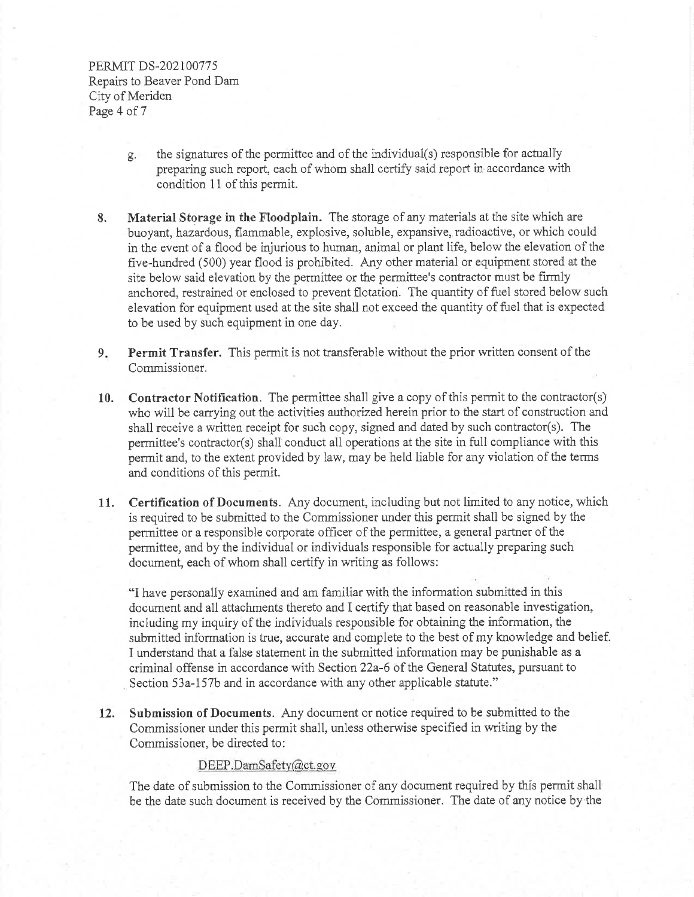PERMIT DS-202100775 Repairs to Beaver Pond Dam City of Meriden Page 4 of 7

- the signatures of the permittee and of the individual(s) responsible for actually g. preparing such report, each of whom shall certify said report in accordance with condition 11 of this permit.
- Material Storage in the Floodplain. The storage of any materials at the site which are 8. buoyant, hazardous, flammable, explosive, soluble, expansive, radioactive, or which could in the event of a flood be injurious to human, animal or plant life, below the elevation of the five-hundred (500) year flood is prohibited. Any other material or equipment stored at the site below said elevation by the permittee or the permittee's contractor must be firmly anchored, restrained or enclosed to prevent flotation. The quantity of fuel stored below such elevation for equipment used at the site shall not exceed the quantity of fuel that is expected to be used by such equipment in one day.
- Permit Transfer. This permit is not transferable without the prior written consent of the  $9.1$ Commissioner.
- Contractor Notification. The permittee shall give a copy of this permit to the contractor(s)  $10.$ who will be carrying out the activities authorized herein prior to the start of construction and shall receive a written receipt for such copy, signed and dated by such contractor(s). The permittee's contractor(s) shall conduct all operations at the site in full compliance with this permit and, to the extent provided by law, may be held liable for any violation of the terms and conditions of this permit.
- Certification of Documents. Any document, including but not limited to any notice, which  $11.$ is required to be submitted to the Commissioner under this permit shall be signed by the permittee or a responsible corporate officer of the permittee, a general partner of the permittee, and by the individual or individuals responsible for actually preparing such document, each of whom shall certify in writing as follows:

"I have personally examined and am familiar with the information submitted in this document and all attachments thereto and I certify that based on reasonable investigation, including my inquiry of the individuals responsible for obtaining the information, the submitted information is true, accurate and complete to the best of my knowledge and belief. I understand that a false statement in the submitted information may be punishable as a criminal offense in accordance with Section 22a-6 of the General Statutes, pursuant to Section 53a-157b and in accordance with any other applicable statute."

Submission of Documents. Any document or notice required to be submitted to the 12. Commissioner under this permit shall, unless otherwise specified in writing by the Commissioner, be directed to:

## DEEP.DamSafety@ct.gov

The date of submission to the Commissioner of any document required by this permit shall be the date such document is received by the Commissioner. The date of any notice by the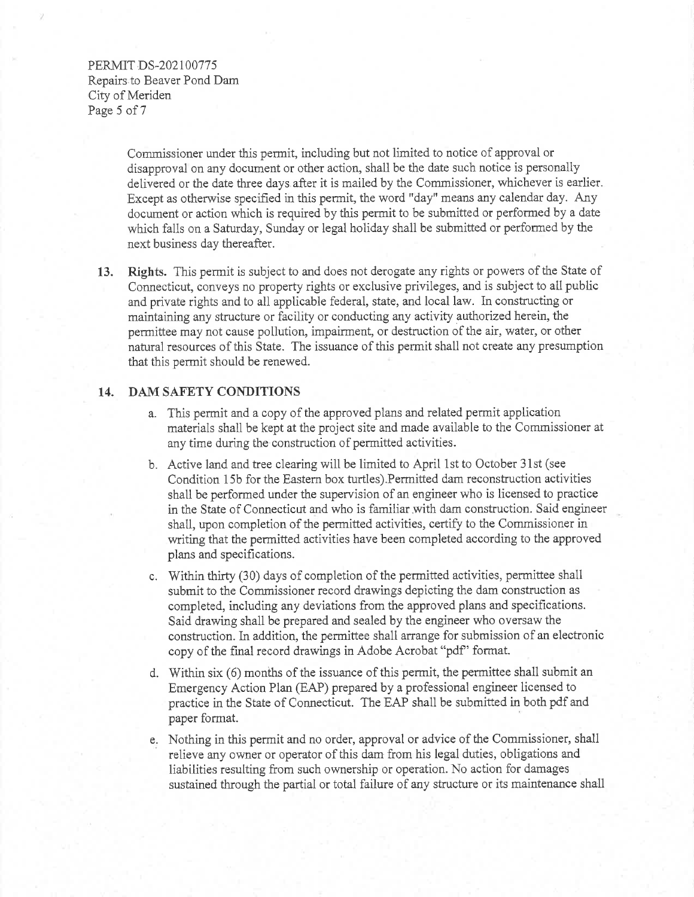## PERMIT DS-202100775 Repairs to Beaver Pond Dam City of Meriden Page 5 of 7

Commissioner under this permit, including but not limited to notice of approval or disapproval on any document or other action, shall be the date such notice is personally delivered or the date three days after it is mailed by the Commissioner, whichever is earlier. Except as otherwise specified in this permit, the word "day" means any calendar day. Any document or action which is required by this permit to be submitted or performed by a date which falls on a Saturday, Sunday or legal holiday shall be submitted or performed by the next business day thereafter.

13. Rights. This permit is subject to and does not derogate any rights or powers of the State of Connecticut, conveys no property rights or exclusive privileges, and is subject to all public and private rights and to all applicable federal, state, and local law. In constructing or maintaining any structure or facility or conducting any activity authorized herein, the permittee may not cause pollution, impairment, or destruction of the air, water, or other natural resources of this State. The issuance of this permit shall not create any presumption that this permit should be renewed.

#### DAM SAFETY CONDITIONS 14.

- a. This permit and a copy of the approved plans and related permit application materials shall be kept at the project site and made available to the Commissioner at any time during the construction of permitted activities.
- b. Active land and tree clearing will be limited to April 1st to October 31st (see Condition 15b for the Eastern box turtles). Permitted dam reconstruction activities shall be performed under the supervision of an engineer who is licensed to practice in the State of Connecticut and who is familiar with dam construction. Said engineer shall, upon completion of the permitted activities, certify to the Commissioner in writing that the permitted activities have been completed according to the approved plans and specifications.
- c. Within thirty (30) days of completion of the permitted activities, permittee shall submit to the Commissioner record drawings depicting the dam construction as completed, including any deviations from the approved plans and specifications. Said drawing shall be prepared and sealed by the engineer who oversaw the construction. In addition, the permittee shall arrange for submission of an electronic copy of the final record drawings in Adobe Acrobat "pdf" format.
- d. Within six (6) months of the issuance of this permit, the permittee shall submit an Emergency Action Plan (EAP) prepared by a professional engineer licensed to practice in the State of Connecticut. The EAP shall be submitted in both pdf and paper format.
- e. Nothing in this permit and no order, approval or advice of the Commissioner, shall relieve any owner or operator of this dam from his legal duties, obligations and liabilities resulting from such ownership or operation. No action for damages sustained through the partial or total failure of any structure or its maintenance shall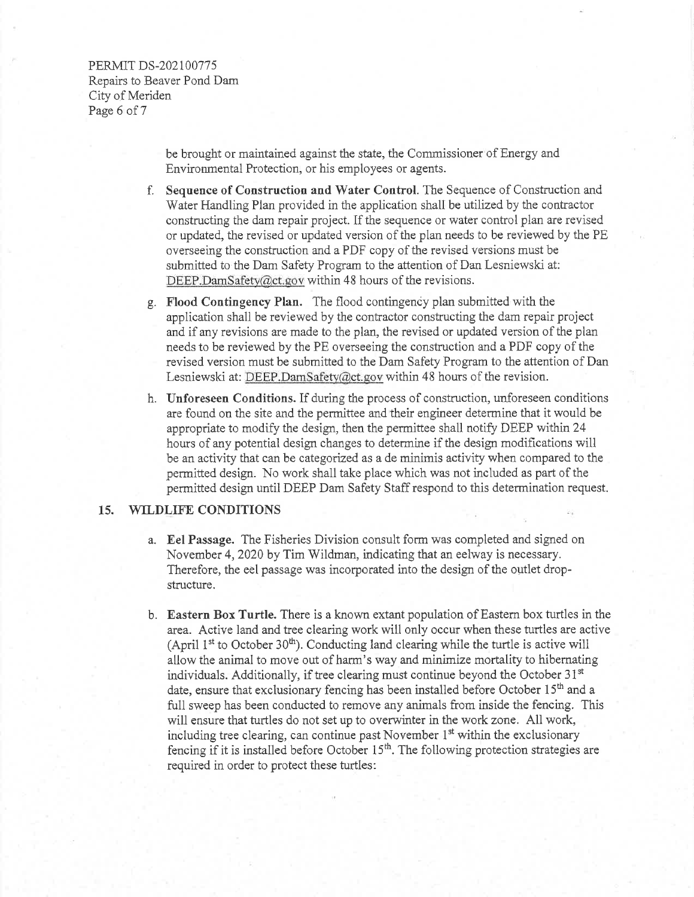PERMIT DS-202100775 Repairs to Beaver Pond Dam City of Meriden Page 6 of 7

> be brought or maintained against the state, the Commissioner of Energy and Environmental Protection, or his employees or agents.

- Sequence of Construction and Water Control. The Sequence of Construction and f. Water Handling Plan provided in the application shall be utilized by the contractor constructing the dam repair project. If the sequence or water control plan are revised or updated, the revised or updated version of the plan needs to be reviewed by the PE overseeing the construction and a PDF copy of the revised versions must be submitted to the Dam Safety Program to the attention of Dan Lesniewski at: DEEP.DamSafety@ct.gov within 48 hours of the revisions.
- g. Flood Contingency Plan. The flood contingency plan submitted with the application shall be reviewed by the contractor constructing the dam repair project and if any revisions are made to the plan, the revised or updated version of the plan needs to be reviewed by the PE overseeing the construction and a PDF copy of the revised version must be submitted to the Dam Safety Program to the attention of Dan Lesniewski at: DEEP.DamSafety@ct.gov within 48 hours of the revision.
- h. Unforeseen Conditions. If during the process of construction, unforeseen conditions are found on the site and the permittee and their engineer determine that it would be appropriate to modify the design, then the permittee shall notify DEEP within 24 hours of any potential design changes to determine if the design modifications will be an activity that can be categorized as a de minimis activity when compared to the permitted design. No work shall take place which was not included as part of the permitted design until DEEP Dam Safety Staff respond to this determination request.

#### **WILDLIFE CONDITIONS** 15.

- a. Eel Passage. The Fisheries Division consult form was completed and signed on November 4, 2020 by Tim Wildman, indicating that an eelway is necessary. Therefore, the eel passage was incorporated into the design of the outlet dropstructure.
- b. Eastern Box Turtle. There is a known extant population of Eastern box turtles in the area. Active land and tree clearing work will only occur when these turtles are active (April  $1^{st}$  to October 30<sup>th</sup>). Conducting land clearing while the turtle is active will allow the animal to move out of harm's way and minimize mortality to hibernating individuals. Additionally, if tree clearing must continue beyond the October 31st date, ensure that exclusionary fencing has been installed before October 15<sup>th</sup> and a full sweep has been conducted to remove any animals from inside the fencing. This will ensure that turtles do not set up to overwinter in the work zone. All work, including tree clearing, can continue past November  $1<sup>st</sup>$  within the exclusionary fencing if it is installed before October  $15<sup>th</sup>$ . The following protection strategies are required in order to protect these turtles: